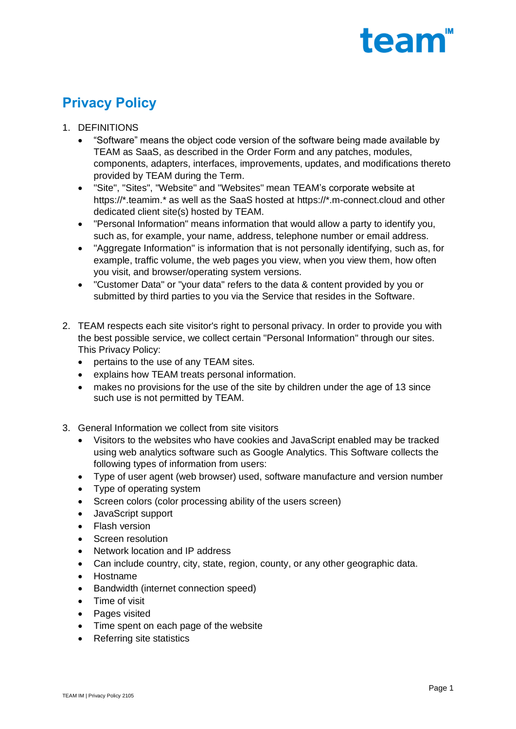# team<sup>"</sup>

# **Privacy Policy**

- 1. DEFINITIONS
	- "Software" means the object code version of the software being made available by TEAM as SaaS, as described in the Order Form and any patches, modules, components, adapters, interfaces, improvements, updates, and modifications thereto provided by TEAM during the Term.
	- "Site", "Sites", "Website" and "Websites" mean TEAM's corporate website at https://\*.teamim.\* as well as the SaaS hosted at https://\*.m-connect.cloud and other dedicated client site(s) hosted by TEAM.
	- "Personal Information" means information that would allow a party to identify you, such as, for example, your name, address, telephone number or email address.
	- "Aggregate Information" is information that is not personally identifying, such as, for example, traffic volume, the web pages you view, when you view them, how often you visit, and browser/operating system versions.
	- "Customer Data" or "your data" refers to the data & content provided by you or submitted by third parties to you via the Service that resides in the Software.
- 2. TEAM respects each site visitor's right to personal privacy. In order to provide you with the best possible service, we collect certain "Personal Information" through our sites. This Privacy Policy:
	- pertains to the use of any TEAM sites.
	- explains how TEAM treats personal information.
	- makes no provisions for the use of the site by children under the age of 13 since such use is not permitted by TEAM.
- 3. General Information we collect from site visitors
	- Visitors to the websites who have cookies and JavaScript enabled may be tracked using web analytics software such as Google Analytics. This Software collects the following types of information from users:
	- Type of user agent (web browser) used, software manufacture and version number
	- Type of operating system
	- Screen colors (color processing ability of the users screen)
	- JavaScript support
	- Flash version
	- Screen resolution
	- Network location and IP address
	- Can include country, city, state, region, county, or any other geographic data.
	- Hostname
	- Bandwidth (internet connection speed)
	- Time of visit
	- Pages visited
	- Time spent on each page of the website
	- Referring site statistics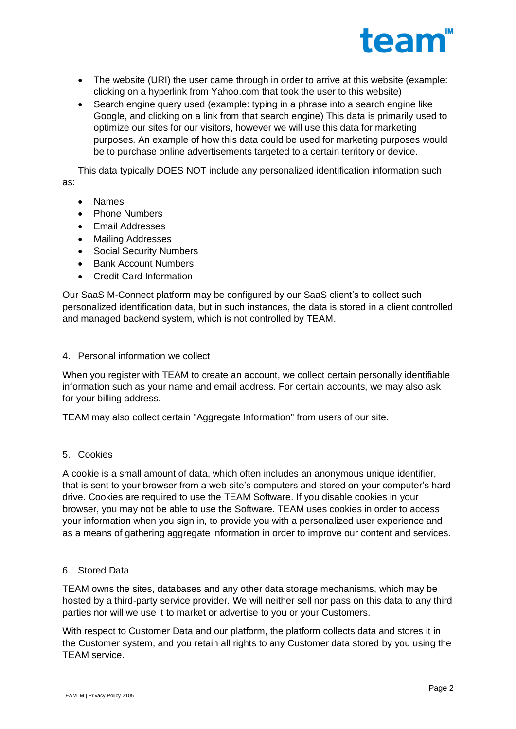

- The website (URI) the user came through in order to arrive at this website (example: clicking on a hyperlink from Yahoo.com that took the user to this website)
- Search engine query used (example: typing in a phrase into a search engine like Google, and clicking on a link from that search engine) This data is primarily used to optimize our sites for our visitors, however we will use this data for marketing purposes. An example of how this data could be used for marketing purposes would be to purchase online advertisements targeted to a certain territory or device.

This data typically DOES NOT include any personalized identification information such as:

- Names
- Phone Numbers
- Email Addresses
- Mailing Addresses
- Social Security Numbers
- Bank Account Numbers
- Credit Card Information

Our SaaS M-Connect platform may be configured by our SaaS client's to collect such personalized identification data, but in such instances, the data is stored in a client controlled and managed backend system, which is not controlled by TEAM.

4. Personal information we collect

When you register with TEAM to create an account, we collect certain personally identifiable information such as your name and email address. For certain accounts, we may also ask for your billing address.

TEAM may also collect certain "Aggregate Information" from users of our site.

5. Cookies

A cookie is a small amount of data, which often includes an anonymous unique identifier, that is sent to your browser from a web site's computers and stored on your computer's hard drive. Cookies are required to use the TEAM Software. If you disable cookies in your browser, you may not be able to use the Software. TEAM uses cookies in order to access your information when you sign in, to provide you with a personalized user experience and as a means of gathering aggregate information in order to improve our content and services.

# 6. Stored Data

TEAM owns the sites, databases and any other data storage mechanisms, which may be hosted by a third-party service provider. We will neither sell nor pass on this data to any third parties nor will we use it to market or advertise to you or your Customers.

With respect to Customer Data and our platform, the platform collects data and stores it in the Customer system, and you retain all rights to any Customer data stored by you using the TEAM service.